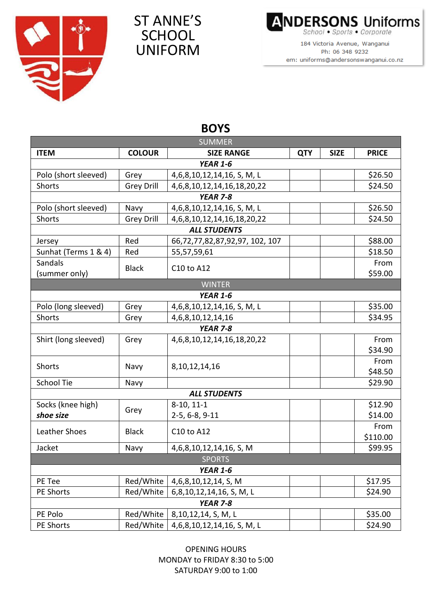

## ST ANNE'S **SCHOOL** UNIFORM

**ANDERSONS Uniforms** School . Sports . Corporate

184 Victoria Avenue, Wanganui Ph: 06 348 9232 em: uniforms@andersonswanganui.co.nz

| <b>SUMMER</b>        |                   |                                      |            |             |              |  |  |  |  |
|----------------------|-------------------|--------------------------------------|------------|-------------|--------------|--|--|--|--|
| <b>ITEM</b>          | <b>COLOUR</b>     | <b>SIZE RANGE</b>                    | <b>QTY</b> | <b>SIZE</b> | <b>PRICE</b> |  |  |  |  |
| <b>YEAR 1-6</b>      |                   |                                      |            |             |              |  |  |  |  |
| Polo (short sleeved) | Grey              | 4,6,8,10,12,14,16, S, M, L           |            |             | \$26.50      |  |  |  |  |
| Shorts               | <b>Grey Drill</b> | 4,6,8,10,12,14,16,18,20,22           |            |             | \$24.50      |  |  |  |  |
| <b>YEAR 7-8</b>      |                   |                                      |            |             |              |  |  |  |  |
| Polo (short sleeved) | Navy              | 4,6,8,10,12,14,16, S, M, L           |            |             | \$26.50      |  |  |  |  |
| Shorts               | <b>Grey Drill</b> | 4, 6, 8, 10, 12, 14, 16, 18, 20, 22  |            |             | \$24.50      |  |  |  |  |
| <b>ALL STUDENTS</b>  |                   |                                      |            |             |              |  |  |  |  |
| Jersey               | Red               | 66, 72, 77, 82, 87, 92, 97, 102, 107 |            |             | \$88.00      |  |  |  |  |
| Sunhat (Terms 1 & 4) | Red               | 55,57,59,61                          |            |             | \$18.50      |  |  |  |  |
| Sandals              | <b>Black</b>      | C10 to A12                           |            |             | From         |  |  |  |  |
| (summer only)        |                   |                                      |            |             | \$59.00      |  |  |  |  |
| <b>WINTER</b>        |                   |                                      |            |             |              |  |  |  |  |
|                      |                   | <b>YEAR 1-6</b>                      |            |             |              |  |  |  |  |
| Polo (long sleeved)  | Grey              | 4,6,8,10,12,14,16, S, M, L           |            |             | \$35.00      |  |  |  |  |
| <b>Shorts</b>        | Grey              | 4, 6, 8, 10, 12, 14, 16              |            |             | \$34.95      |  |  |  |  |
| <b>YEAR 7-8</b>      |                   |                                      |            |             |              |  |  |  |  |
| Shirt (long sleeved) | Grey              | 4, 6, 8, 10, 12, 14, 16, 18, 20, 22  |            |             | From         |  |  |  |  |
|                      |                   |                                      |            |             | \$34.90      |  |  |  |  |
| <b>Shorts</b>        | Navy              | 8, 10, 12, 14, 16                    |            |             | From         |  |  |  |  |
|                      |                   |                                      |            |             | \$48.50      |  |  |  |  |
| School Tie           | Navy              |                                      |            |             | \$29.90      |  |  |  |  |
| <b>ALL STUDENTS</b>  |                   |                                      |            |             |              |  |  |  |  |
| Socks (knee high)    | Grey              | 8-10, 11-1                           |            |             | \$12.90      |  |  |  |  |
| shoe size            | 2-5, 6-8, 9-11    |                                      |            | \$14.00     |              |  |  |  |  |
| Leather Shoes        | <b>Black</b>      | C10 to A12                           |            |             | From         |  |  |  |  |
|                      |                   |                                      |            |             | \$110.00     |  |  |  |  |
| Jacket               | Navy              | 4,6,8,10,12,14,16, S, M              |            |             | \$99.95      |  |  |  |  |
| <b>SPORTS</b>        |                   |                                      |            |             |              |  |  |  |  |
|                      |                   | <b>YEAR 1-6</b>                      |            |             |              |  |  |  |  |
| PE Tee               | Red/White         | 4,6,8,10,12,14, S, M                 |            |             | \$17.95      |  |  |  |  |
| PE Shorts            | Red/White         | 6,8,10,12,14,16, S, M, L             |            |             | \$24.90      |  |  |  |  |
| <b>YEAR 7-8</b>      |                   |                                      |            |             |              |  |  |  |  |
| PE Polo              | Red/White         | 8,10,12,14, S, M, L                  |            |             | \$35.00      |  |  |  |  |
| PE Shorts            | Red/White         | 4,6,8,10,12,14,16, S, M, L           |            |             | \$24.90      |  |  |  |  |

## **BOYS**

OPENING HOURS MONDAY to FRIDAY 8:30 to 5:00 SATURDAY 9:00 to 1:00